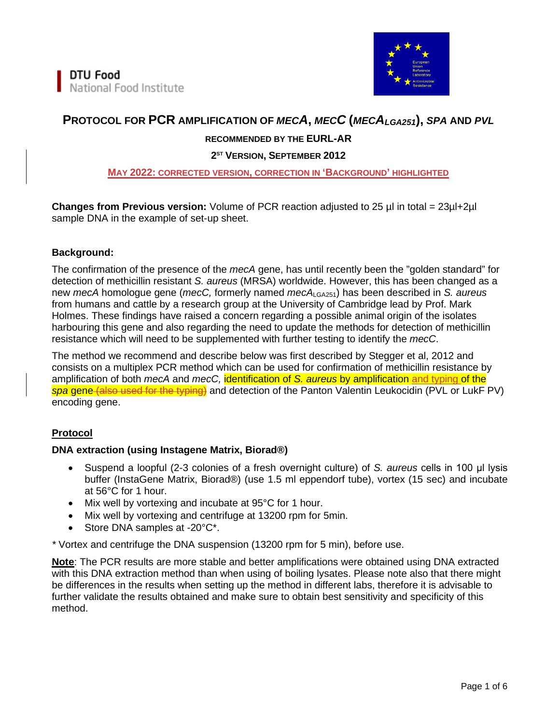

# **PROTOCOL FOR PCR AMPLIFICATION OF** *MECA***,** *MECC* **(***MECALGA251***),** *SPA* **AND** *PVL*

## **RECOMMENDED BY THE EURL-AR**

#### **2ST VERSION, SEPTEMBER 2012**

#### **MAY 2022: CORRECTED VERSION, CORRECTION IN 'BACKGROUND' HIGHLIGHTED**

**Changes from Previous version:** Volume of PCR reaction adjusted to 25 µl in total = 23µl+2µl sample DNA in the example of set-up sheet.

#### **Background:**

The confirmation of the presence of the *mecA* gene, has until recently been the "golden standard" for detection of methicillin resistant *S. aureus* (MRSA) worldwide. However, this has been changed as a new *mecA* homologue gene (*mecC,* formerly named *mecA*LGA251) has been described in *S. aureus* from humans and cattle by a research group at the University of Cambridge lead by Prof. Mark Holmes. These findings have raised a concern regarding a possible animal origin of the isolates harbouring this gene and also regarding the need to update the methods for detection of methicillin resistance which will need to be supplemented with further testing to identify the *mecC*.

The method we recommend and describe below was first described by Stegger et al, 2012 and consists on a multiplex PCR method which can be used for confirmation of methicillin resistance by amplification of both *mecA* and *mecC,* identification of *S. aureus* by amplification and typing of the *spa* gene (also used for the typing) and detection of the Panton Valentin Leukocidin (PVL or LukF PV) encoding gene.

#### **Protocol**

#### **DNA extraction (using Instagene Matrix, Biorad®)**

- Suspend a loopful (2-3 colonies of a fresh overnight culture) of *S. aureus* cells in 100 μl lysis buffer (InstaGene Matrix, Biorad®) (use 1.5 ml eppendorf tube), vortex (15 sec) and incubate at 56°C for 1 hour.
- Mix well by vortexing and incubate at 95°C for 1 hour.
- Mix well by vortexing and centrifuge at 13200 rpm for 5min.
- Store DNA samples at -20°C\*.

*\** Vortex and centrifuge the DNA suspension (13200 rpm for 5 min), before use.

**Note**: The PCR results are more stable and better amplifications were obtained using DNA extracted with this DNA extraction method than when using of boiling lysates. Please note also that there might be differences in the results when setting up the method in different labs, therefore it is advisable to further validate the results obtained and make sure to obtain best sensitivity and specificity of this method.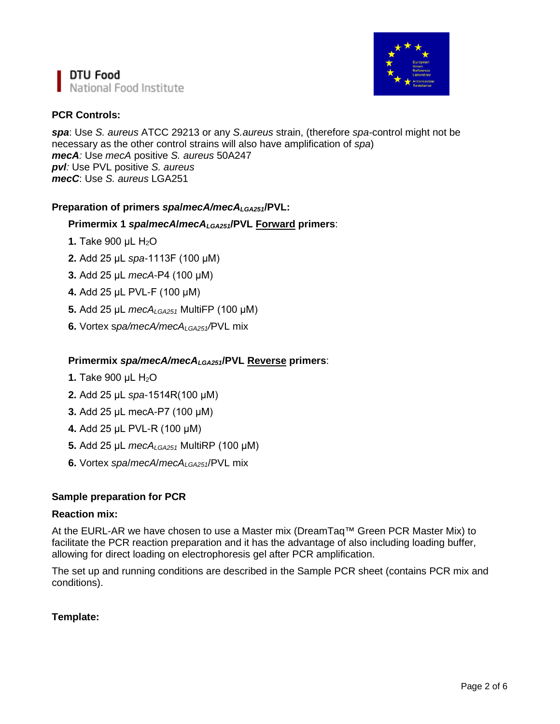



# **PCR Controls:**

*spa*: Use *S. aureus* ATCC 29213 or any *S.aureus* strain, (therefore *spa-*control might not be necessary as the other control strains will also have amplification of *spa*) *mecA:* Use *mecA* positive *S. aureus* 50A247 *pvl:* Use PVL positive *S. aureus mecC*: Use *S. aureus* LGA251

### **Preparation of primers** *spa***/***mecA/mecALGA251***/PVL:**

### **Primermix 1** *spa***/***mecA***/***mecALGA251***/PVL Forward primers**:

- **1.** Take 900 μL H<sub>2</sub>O
- **2.** Add 25 μL *spa*-1113F (100 μM)
- **3.** Add 25 μL *mecA*-P4 (100 μM)
- **4.** Add 25 μL PVL-F (100 μM)
- **5.** Add 25 μL *mecALGA251* MultiFP (100 μM)
- **6.** Vortex s*pa/mecA/mecALGA251/*PVL mix

#### **Primermix** *spa/mecA/mecALGA251***/PVL Reverse primers**:

- **1.** Take 900 μL H<sub>2</sub>O
- **2.** Add 25 μL *spa*-1514R(100 μM)
- **3.** Add 25 μL mecA-P7 (100 μM)
- **4.** Add 25 μL PVL-R (100 μM)
- **5.** Add 25 μL *mecALGA251* MultiRP (100 μM)
- **6.** Vortex *spa*/*mecA*/*mecALGA251*/PVL mix

#### **Sample preparation for PCR**

#### **Reaction mix:**

At the EURL-AR we have chosen to use a Master mix (DreamTaq™ Green PCR Master Mix) to facilitate the PCR reaction preparation and it has the advantage of also including loading buffer, allowing for direct loading on electrophoresis gel after PCR amplification.

The set up and running conditions are described in the Sample PCR sheet (contains PCR mix and conditions).

#### **Template:**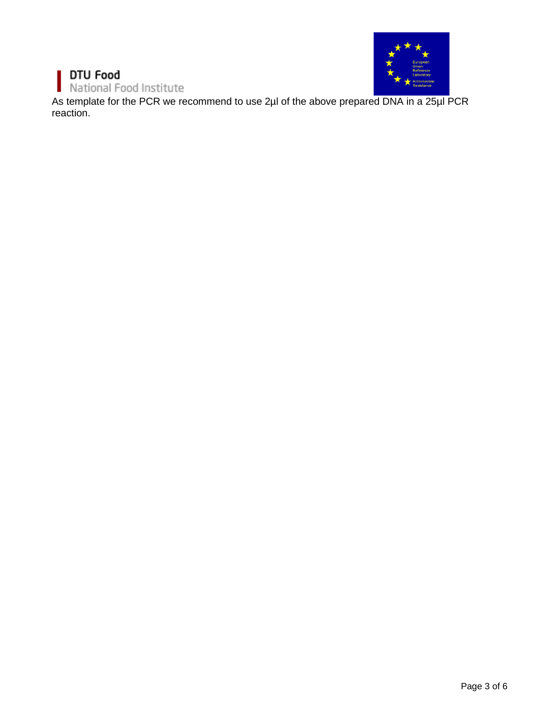#### DTU Food ı National Food Institute п



As template for the PCR we recommend to use 2µl of the above prepared DNA in a 25µl PCR reaction.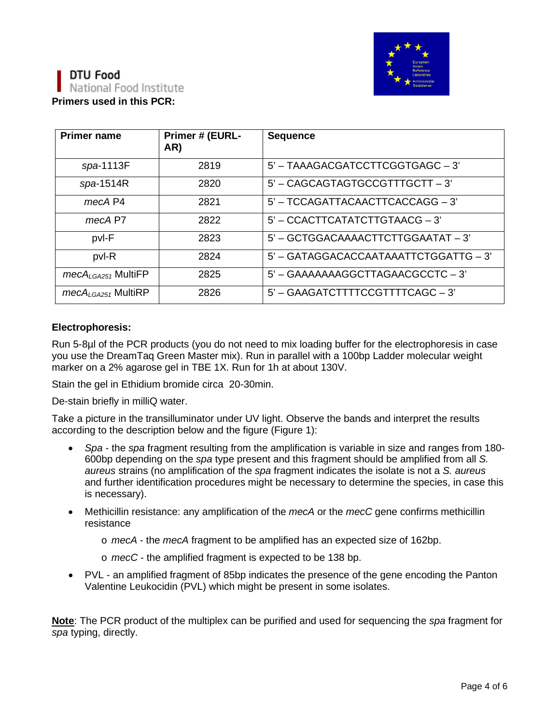



| <b>Primer name</b>      | Primer # (EURL-<br>AR) | <b>Sequence</b>                       |
|-------------------------|------------------------|---------------------------------------|
| spa-1113F               | 2819                   | 5' - TAAAGACGATCCTTCGGTGAGC - 3'      |
| $spa-1514R$             | 2820                   | 5' - CAGCAGTAGTGCCGTTTGCTT - 3'       |
| mecA P4                 | 2821                   | 5' - TCCAGATTACAACTTCACCAGG - 3'      |
| mecA P7                 | 2822                   | 5' - CCACTTCATATCTTGTAACG - 3'        |
| pvl-F                   | 2823                   | 5' - GCTGGACAAAACTTCTTGGAATAT - 3'    |
| pvl-R                   | 2824                   | 5' - GATAGGACACCAATAAATTCTGGATTG - 3' |
| $mecA_{LGA251}$ MultiFP | 2825                   | 5' - GAAAAAAAGGCTTAGAACGCCTC - 3'     |
| $mecA_{LGA251}$ MultiRP | 2826                   | 5' - GAAGATCTTTTCCGTTTTCAGC - 3'      |

#### **Electrophoresis:**

Run 5-8µl of the PCR products (you do not need to mix loading buffer for the electrophoresis in case you use the DreamTaq Green Master mix). Run in parallel with a 100bp Ladder molecular weight marker on a 2% agarose gel in TBE 1X. Run for 1h at about 130V.

Stain the gel in Ethidium bromide circa 20-30min.

De-stain briefly in milliQ water.

Take a picture in the transilluminator under UV light. Observe the bands and interpret the results according to the description below and the figure (Figure 1):

- *Spa* the *spa* fragment resulting from the amplification is variable in size and ranges from 180- 600bp depending on the *spa* type present and this fragment should be amplified from all *S. aureus* strains (no amplification of the *spa* fragment indicates the isolate is not a *S. aureus* and further identification procedures might be necessary to determine the species, in case this is necessary).
- Methicillin resistance: any amplification of the *mecA* or the *mecC* gene confirms methicillin resistance
	- o *mecA* the *mecA* fragment to be amplified has an expected size of 162bp.
	- o *mecC* the amplified fragment is expected to be 138 bp.
- PVL an amplified fragment of 85bp indicates the presence of the gene encoding the Panton Valentine Leukocidin (PVL) which might be present in some isolates.

**Note**: The PCR product of the multiplex can be purified and used for sequencing the *spa* fragment for *spa* typing, directly.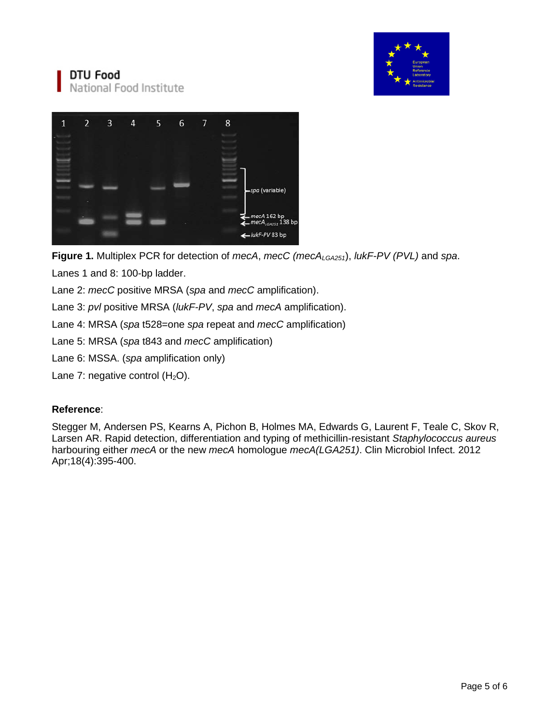

# DTU Food National Food Institute



**Figure 1.** Multiplex PCR for detection of *mecA*, *mecC (mecALGA251*), *lukF-PV (PVL)* and *spa*.

Lanes 1 and 8: 100-bp ladder.

Lane 2: *mecC* positive MRSA (*spa* and *mecC* amplification).

Lane 3: *pvl* positive MRSA (*lukF-PV*, *spa* and *mecA* amplification).

Lane 4: MRSA (*spa* t528=one *spa* repeat and *mecC* amplification)

Lane 5: MRSA (*spa* t843 and *mecC* amplification)

Lane 6: MSSA. (*spa* amplification only)

Lane 7: negative control  $(H<sub>2</sub>O)$ .

## **Reference**:

Stegger M, Andersen PS, Kearns A, Pichon B, Holmes MA, Edwards G, Laurent F, Teale C, Skov R, Larsen AR. Rapid detection, differentiation and typing of methicillin-resistant *Staphylococcus aureus* harbouring either *mecA* or the new *mecA* homologue *mecA(LGA251)*. Clin Microbiol Infect. 2012 Apr;18(4):395-400.